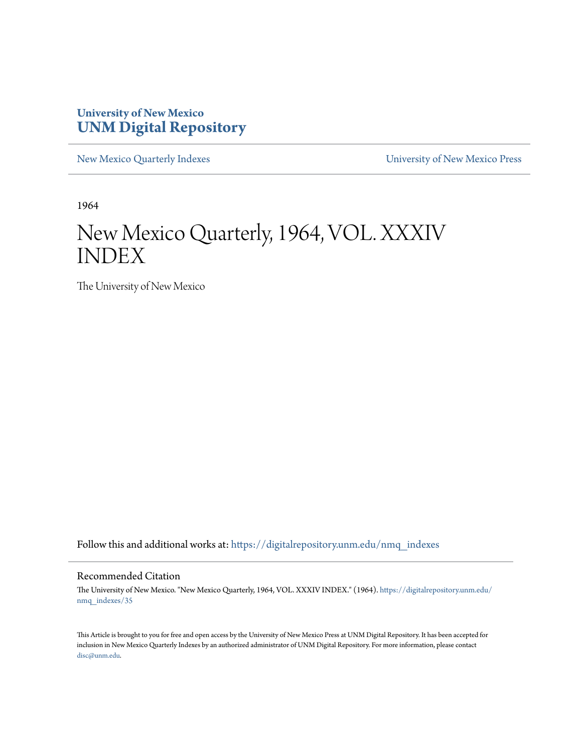### **University of New Mexico [UNM Digital Repository](https://digitalrepository.unm.edu?utm_source=digitalrepository.unm.edu%2Fnmq_indexes%2F35&utm_medium=PDF&utm_campaign=PDFCoverPages)**

[New Mexico Quarterly Indexes](https://digitalrepository.unm.edu/nmq_indexes?utm_source=digitalrepository.unm.edu%2Fnmq_indexes%2F35&utm_medium=PDF&utm_campaign=PDFCoverPages) [University of New Mexico Press](https://digitalrepository.unm.edu/press?utm_source=digitalrepository.unm.edu%2Fnmq_indexes%2F35&utm_medium=PDF&utm_campaign=PDFCoverPages)

1964

## New Mexico Quarterly, 1964, VOL. XXXIV INDEX

The University of New Mexico

Follow this and additional works at: [https://digitalrepository.unm.edu/nmq\\_indexes](https://digitalrepository.unm.edu/nmq_indexes?utm_source=digitalrepository.unm.edu%2Fnmq_indexes%2F35&utm_medium=PDF&utm_campaign=PDFCoverPages)

### Recommended Citation

The University of New Mexico. "New Mexico Quarterly, 1964, VOL. XXXIV INDEX." (1964). [https://digitalrepository.unm.edu/](https://digitalrepository.unm.edu/nmq_indexes/35?utm_source=digitalrepository.unm.edu%2Fnmq_indexes%2F35&utm_medium=PDF&utm_campaign=PDFCoverPages) [nmq\\_indexes/35](https://digitalrepository.unm.edu/nmq_indexes/35?utm_source=digitalrepository.unm.edu%2Fnmq_indexes%2F35&utm_medium=PDF&utm_campaign=PDFCoverPages)

This Article is brought to you for free and open access by the University of New Mexico Press at UNM Digital Repository. It has been accepted for inclusion in New Mexico Quarterly Indexes by an authorized administrator of UNM Digital Repository. For more information, please contact [disc@unm.edu](mailto:disc@unm.edu).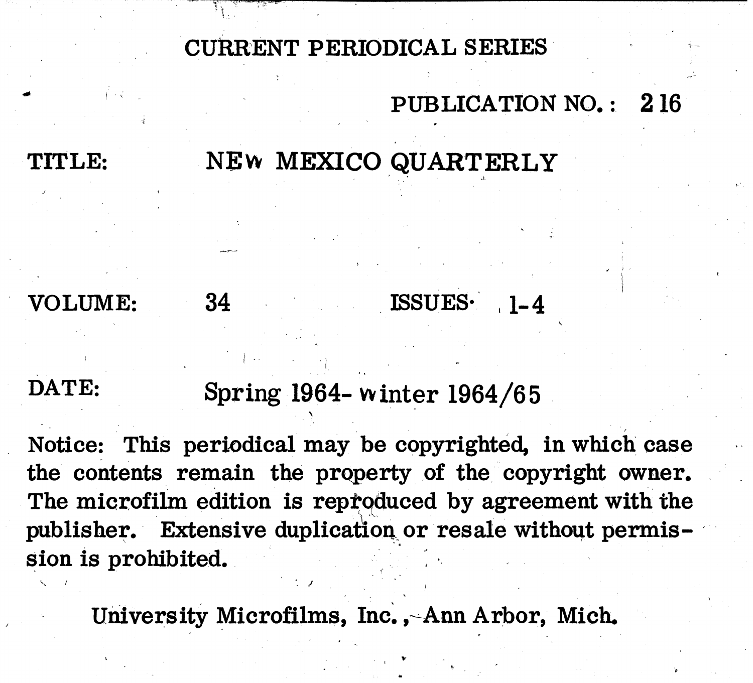CURRENT PERIODICAL SERIES

## PUBLICATION NO.: 216

# NEW MEXICO QUARTERLY

# VOLUME:

TITLE:

# 34

# ISSUES.

# DATE:

Spring 1964- winter 1964/65

Notice: This periodical may be copyrighted, in which case the contents remain the property of the copyright owner. The microfilm edition is reproduced by agreement with the publisher. Extensive duplication or resale without permission is prohibited.

University Microfilms, Inc., Ann Arbor, Mich.

# $1 - 4$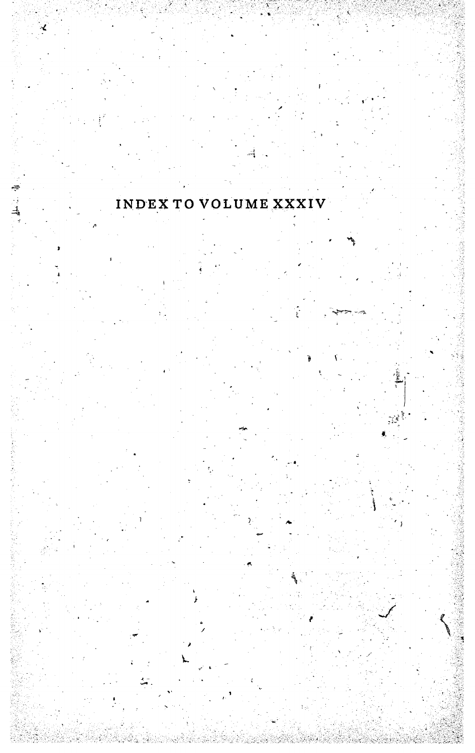

∃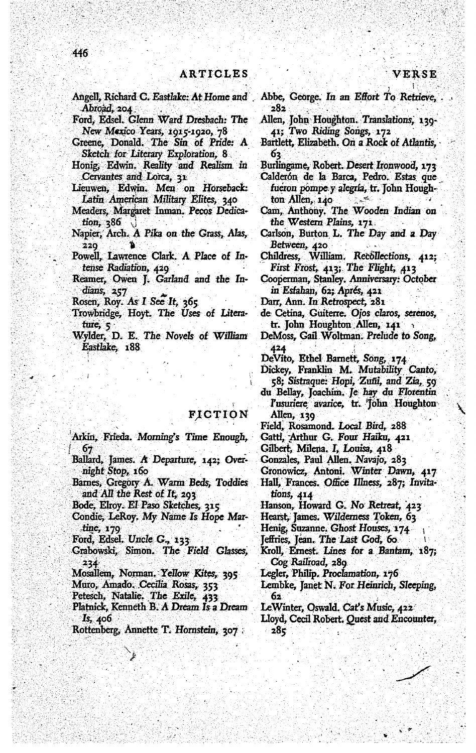Angell, Richard C. Eastlake: At Home and Abroad, 204

- Ford, Edsel. Glenn Ward Dresbach: The New Mexico Years, 1915-1920, 78
- Greene, Donald. The Sin of Pride: A Sketch for Literary Exploration, 8
- Honig, Edwin. Reality and Realism in Cervantes and Lorca, 31
- Lieuwen, Edwin. Men on Horseback: Latin American Military Elites, 340
- Meaders, Margaret Inman. Pecos Dedication,  $386$
- Napier, Arch. A Pika on the Grass, Alas, 220
- Powell, Lawrence Clark. A Place of Intense Radiation, 429
- Reamer, Owen J. Garland and the Indians, 257
- Rosen, Roy. As I See It, 365
- Trowbridge, Hoyt. The Uses of Literature, 5
- Wylder, D. E. The Novels of William Eastlake, 188
	- FICTION
- Arkin, Frieda. Morning's Time Enough, 67
- Ballard, James. A Departure, 142; Overnight Stop, 160
- Barnes, Gregory A. Warm Beds, Toddies and All the Rest of It, 203
- Bode, Elroy. El Paso Sketches, 315
- Condie, LeRoy. My Name Is Hope Martine, 179
- Ford, Edsel. Uncle G., 133
- Grabowski, Simon. The Field Glasses, 234
- Mosallem, Norman. Yellow Kites, 395
- Muro, Amado. Cecilia Rosas, 353
- Petesch, Natalie. The Exile, 433
- Platnick, Kenneth B. A Dream Is a Dream Is, 406
- Rottenberg, Annette T. Hornstein, 307
- Abbe, George. In an Effort To Retrieve, 282
- Allen, John Houghton. Translations, 139-41; Two Riding Songs, 172
- Bartlett, Elizabeth. On a Rock of Atlantis. 62.
- Burlingame, Robert. Desert Ironwood, 173
- Calderón de la Barca, Pedro. Estas que fueron pompe y alegría, tr. John Houghton Allen,  $140$  $\mathcal{L}_{\mathcal{L}}$
- Cam, Anthony. The Wooden Indian on the Western Plains, 171.
- Carlson, Burton L. The Day and a Day
- Between, 420<br>Childress, William. Recollections, 412; First Frost, 413; The Flight, 413
- Cooperman, Stanley. Anniversary: October in Esfahan, 62; Aprés, 421
- Darr, Ann. In Retrospect, 281
- de Cetina, Guiterre. Ojos claros, serenos, tr. John Houghton Allen, 141
- DeMoss, Gail Woltman. Prelude to Song, 424
- DeVito, Ethel Barnett, Song, 174
- Dickey, Franklin M. Mutability Canto,
- 58; Sistraque: Hopi, Zufii, and Zia, 59 du Bellay, Joachim. Je hay du Florentin
- l'usuriere avarice, tr. Tohn Houghton Allen, 139
- Field, Rosamond. Local Bird, 288
- Gattl, Arthur G. Four Haiku, 421
- Gilbert, Milena. I, Louisa, 418
- Gonzales, Paul Allen. Navajo, 283
- Gronowicz, Antoni. Winter Dawn, 417
- Hall, Frances. Office Illness, 287; Invitations, 414
- Hanson, Howard G. No Retreat, 423
- Hearst, James. Wilderness Token, 63
- Henig, Suzanne. Ghost Houses, 174

Jeffries, Jean. The Last God, 60

- Kroll, Ernest. Lines for a Bantam, 187; Cog Railroad, 289
- Legler, Philip. Proclamation, 176
- Lembke, Janet N. For Heinrich, Sleeping, 62
- LeWinter, Oswald. Cat's Music, 422 Lloyd, Cecil Robert. Quest and Encounter,

 $285$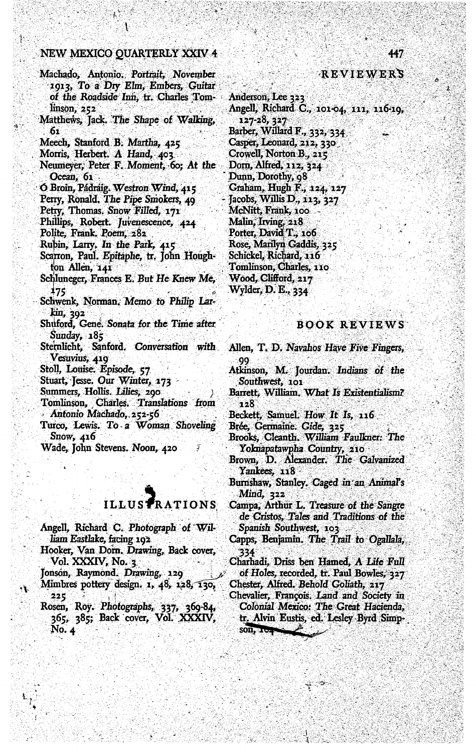### NEW MEXICO QUARTERLY XXIV 4

- Machado, Antonio. Portrait, November 1913, To a Dry Elm, Embers, Guitar of the Roadside Inn, tr. Charles Tomlinson, 252
- Matthews, Jack. The Shape of Walking,  $61$
- Meech, Stanford B. Martha, 425
- Morris, Herbert. A Hand, 403
- Neumeyer, Peter F. Moment, 60; At the Ocean, 61
- O Broin, Pádraig. Westron Wind, 415
- Perry, Ronald. The Pipe Smokers, 49
- Petry, Thomas. Snow Filled, 171
- Phillips, Robert. Juvenescence, 424
- Polite, Frank, Poem, 282
- Rubin, Larry, In the Park, 415
- Scarron, Paul. Epitaphe, tr. John Houghton Allen, 141
- Schluneger, Frances E. But He Knew Me, 175
- Schwenk, Norman. Memo to Philip Larkin, 392
- Shuford, Gene. Sonata for the Time after Sunday, 185
- Sternlicht, Sanford, Conversation with Vesuvius, 419
- Stoll, Louise. Episode, 57
- Stuart, Jesse. Our Winter, 173
- Summers, Hollis. Lilies, 290
- Tomlinson, Charles. Translations from Antonio Machado, 252-56
- Turco, Lewis. To a Woman Shoveling Snow,  $416$
- Wade, John Stevens. Noon, 420

### **ILLUSTRATIONS**

- Angell, Richard C. Photograph of William Eastlake, facing 192
- Hooker, Van Dorn. Drawing, Back cover, Vol. XXXIV, No. 3
- Jonson, Raymond. Drawing, 129
- Mimbres pottery design. 1, 48, 128, 130, 225
- Rosen, Roy. Photographs, 337, 369-84,<br>365, 385; Back cover, Vol. XXXIV,  $No. 4$

### REVIEWERS

Anderson, Lee 323 Angell, Richard C., 101-04, 111, 116-19, 127-28, 327 Barber, Willard F., 332, 334 Casper, Leonard, 212, 330 Crowell, Norton B., 215 Dorn, Alfred, 112, 324 Dunn, Dorothy, 98 Graham, Hugh F., 124, 127 Jacobs, Willis D., 113, 327 McNitt, Frank, 100 Malin, Irving, 218 Porter, David T., 106 Rose, Marilyn Gaddis, 325 Schickel, Richard, 116 Tomlinson, Charles, 110 Wood, Clifford, 217 Wylder, D. E., 334

### **BOOK REVIEWS**

- Allen, T. D. Navahos Have Five Fingers,
- Atkinson, M. Jourdan. Indians of the Southwest, 101
- Barrett, William. What Is Existentialism? 128
- Beckett, Samuel. How It Is, 116
- Brée, Germaine. Gide, 325
- Brooks, Cleanth. William Faulkner: The Yoknapatawpha Country, 210
- Brown, D. Alexander. The Galvanized Yankees, 118
- Burnshaw, Stanley. Caged in an Animal's  $Mind, 322$
- Campa, Arthur L. Treasure of the Sangre de Cristos, Tales and Traditions of the Spanish Southwest, 103
- Capps, Benjamin. The Trail to Ogallala, 334
- Charhadi, Driss ben Hamed, A Life Full of Holes, recorded, tr. Paul Bowles, 327 Chester, Alfred. Behold Goliath, 217
- Chevalier, François. Land and Society in Colonial Mexico: The Great Hacienda, tr. Alvin Eustis, ed. Lesley Byrd Simp- $SOD, 104$

447